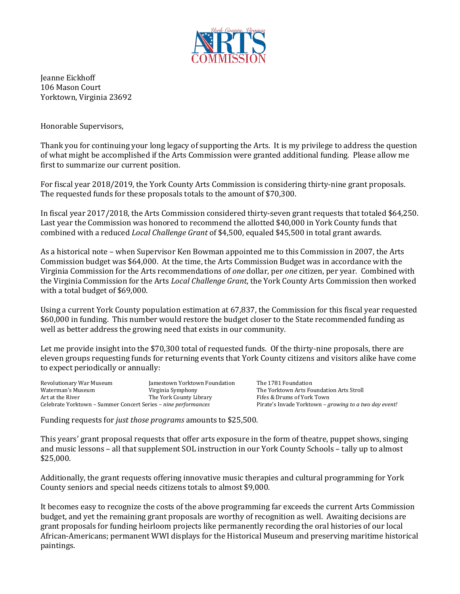

Jeanne Eickhoff 106 Mason Court Yorktown, Virginia 23692

Honorable Supervisors,

Thank you for continuing your long legacy of supporting the Arts. It is my privilege to address the question of what might be accomplished if the Arts Commission were granted additional funding. Please allow me first to summarize our current position.

For fiscal year 2018/2019, the York County Arts Commission is considering thirty-nine grant proposals. The requested funds for these proposals totals to the amount of \$70,300.

In fiscal year 2017/2018, the Arts Commission considered thirty-seven grant requests that totaled \$64,250. Last year the Commission was honored to recommend the allotted \$40,000 in York County funds that combined with a reduced *Local Challenge Grant* of \$4,500, equaled \$45,500 in total grant awards.

As a historical note – when Supervisor Ken Bowman appointed me to this Commission in 2007, the Arts Commission budget was \$64,000. At the time, the Arts Commission Budget was in accordance with the Virginia Commission for the Arts recommendations of *one* dollar, per *one* citizen, per year. Combined with the Virginia Commission for the Arts *Local Challenge Grant*, the York County Arts Commission then worked with a total budget of \$69,000.

Using a current York County population estimation at 67,837, the Commission for this fiscal year requested \$60,000 in funding. This number would restore the budget closer to the State recommended funding as well as better address the growing need that exists in our community.

Let me provide insight into the \$70,300 total of requested funds. Of the thirty-nine proposals, there are eleven groups requesting funds for returning events that York County citizens and visitors alike have come to expect periodically or annually:

Revolutionary War Museum Jamestown Yorktown Foundation The 1781 Foundation<br>Waterman's Museum Virginia Symphony The Yorktown Arts Fo Waterman's Museum Virginia Symphony<br>
The York County Library<br>
The York County Library<br>
The Section Arts & Drums of York Town Art at the River **Fifes & Drums of York Town**<br>Celebrate Yorktown – Summer Concert Series – *nine performances* Pirate's Invade Yorktown – *growing to a two day event!* 

Funding requests for *just those programs* amounts to \$25,500.

This years' grant proposal requests that offer arts exposure in the form of theatre, puppet shows, singing and music lessons – all that supplement SOL instruction in our York County Schools – tally up to almost \$25,000.

Additionally, the grant requests offering innovative music therapies and cultural programming for York County seniors and special needs citizens totals to almost \$9,000.

It becomes easy to recognize the costs of the above programming far exceeds the current Arts Commission budget, and yet the remaining grant proposals are worthy of recognition as well. Awaiting decisions are grant proposals for funding heirloom projects like permanently recording the oral histories of our local African-Americans; permanent WWI displays for the Historical Museum and preserving maritime historical paintings.